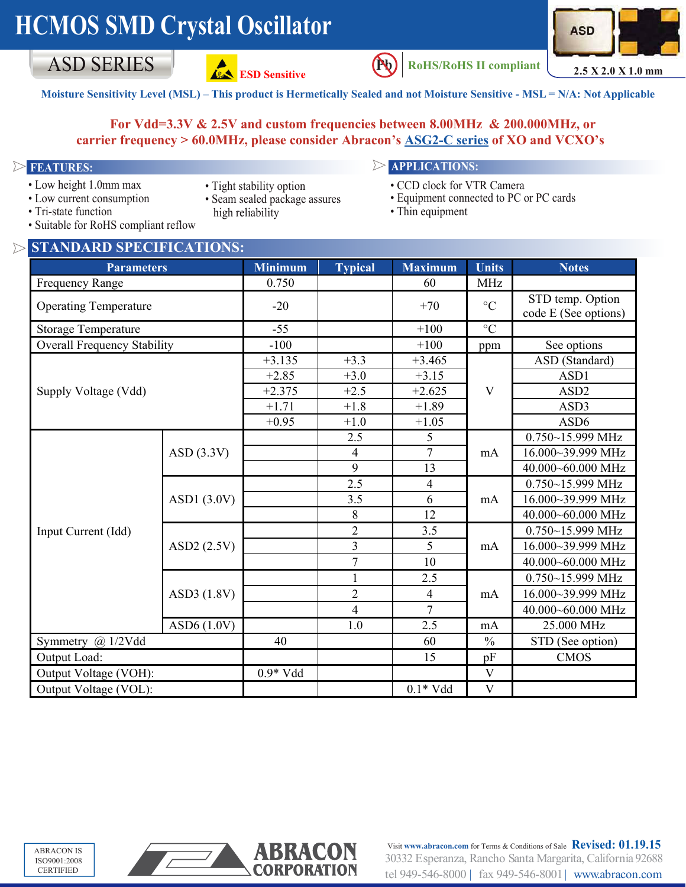# **HCMOS SMD Crystal Oscillator**







ASD SERIES **2.5** X 2.0 X 1.0 mm  $RoHS/RoHS II$  compliant

**Moisture Sensitivity Level (MSL) – This product is Hermetically Sealed and not Moisture Sensitive - MSL = N/A: Not Applicable**

### **For Vdd=3.3V & 2.5V and custom frequencies between 8.00MHz & 200.000MHz, or carrier frequency > 60.0MHz, please consider Abracon's [ASG2-C series](http://www.abracon.com/Oscillators/ASG2-C.pdf) of XO and VCXO's**

- Low height 1.0mm max
- 
- Low current consumption
- Tight stability option
- Seam sealed package assures high reliability

## **FEATURES: APPLICATIONS:**

- CCD clock for VTR Camera
- Equipment connected to PC or PC cards
- Thin equipment

• Tri-state function • Suitable for RoHS compliant reflow

| bunuone for <i>reoffic</i> compliant reflow |
|---------------------------------------------|
| S CTANDADD CDECIFIC ATIONS                  |

| STANDARD SPECIFICATIONS:           |               |                |                |                 |                                          |                      |  |  |  |  |
|------------------------------------|---------------|----------------|----------------|-----------------|------------------------------------------|----------------------|--|--|--|--|
| <b>Parameters</b>                  |               | <b>Minimum</b> | <b>Typical</b> | <b>Maximum</b>  | <b>Units</b>                             | <b>Notes</b>         |  |  |  |  |
| <b>Frequency Range</b>             | 0.750         |                | 60             | <b>MHz</b>      |                                          |                      |  |  |  |  |
| <b>Operating Temperature</b>       | $-20$         |                | $+70$          | $\rm ^{\circ}C$ | STD temp. Option<br>code E (See options) |                      |  |  |  |  |
| <b>Storage Temperature</b>         | $-55$         |                | $+100$         | $\circ$ C       |                                          |                      |  |  |  |  |
| <b>Overall Frequency Stability</b> | $-100$        |                | $+100$         | ppm             | See options                              |                      |  |  |  |  |
|                                    | $+3.135$      | $+3.3$         | $+3.465$       | V               | ASD (Standard)                           |                      |  |  |  |  |
|                                    | $+2.85$       | $+3.0$         | $+3.15$        |                 | ASD1                                     |                      |  |  |  |  |
| Supply Voltage (Vdd)               | $+2.375$      | $+2.5$         | $+2.625$       |                 | ASD <sub>2</sub>                         |                      |  |  |  |  |
|                                    | $+1.71$       | $+1.8$         | $+1.89$        |                 | ASD3                                     |                      |  |  |  |  |
|                                    |               | $+0.95$        | $+1.0$         | $+1.05$         |                                          | ASD <sub>6</sub>     |  |  |  |  |
|                                    |               |                | 2.5            | 5               |                                          | $0.750 - 15.999$ MHz |  |  |  |  |
|                                    | ASD(3.3V)     |                | $\overline{4}$ | $\overline{7}$  | mA                                       | 16.000~39.999 MHz    |  |  |  |  |
|                                    |               |                | 9              | 13              |                                          | 40.000~60.000 MHz    |  |  |  |  |
|                                    |               |                | 2.5            | $\overline{4}$  | mA                                       | 0.750~15.999 MHz     |  |  |  |  |
|                                    | ASD1 $(3.0V)$ |                | 3.5            | 6               |                                          | 16.000~39.999 MHz    |  |  |  |  |
|                                    |               |                | $\,$ $\,$      | 12              |                                          | 40.000~60.000 MHz    |  |  |  |  |
| Input Current (Idd)                | ASD2 (2.5V)   |                | $\overline{2}$ | 3.5             | mA                                       | 0.750~15.999 MHz     |  |  |  |  |
|                                    |               |                | $\overline{3}$ | 5               |                                          | 16.000~39.999 MHz    |  |  |  |  |
|                                    |               |                | $\overline{7}$ | 10              |                                          | 40.000~60.000 MHz    |  |  |  |  |
|                                    | ASD3 (1.8V)   |                | $\mathbf{1}$   | 2.5             | mA                                       | 0.750~15.999 MHz     |  |  |  |  |
|                                    |               |                | $\overline{2}$ | $\overline{4}$  |                                          | 16.000~39.999 MHz    |  |  |  |  |
|                                    |               |                | $\overline{4}$ | $\overline{7}$  |                                          | 40.000~60.000 MHz    |  |  |  |  |
|                                    | ASD $6(1.0V)$ |                | 1.0            | 2.5             | mA                                       | 25.000 MHz           |  |  |  |  |
| Symmetry @ 1/2Vdd                  | 40            |                | 60             | $\frac{0}{0}$   | STD (See option)                         |                      |  |  |  |  |
| Output Load:                       |               |                | 15             | pF              | <b>CMOS</b>                              |                      |  |  |  |  |
| Output Voltage (VOH):              | $0.9*Vdd$     |                |                | $\mathbf V$     |                                          |                      |  |  |  |  |
| Output Voltage (VOL):              |               |                | $0.1*Vdd$      | $\overline{V}$  |                                          |                      |  |  |  |  |



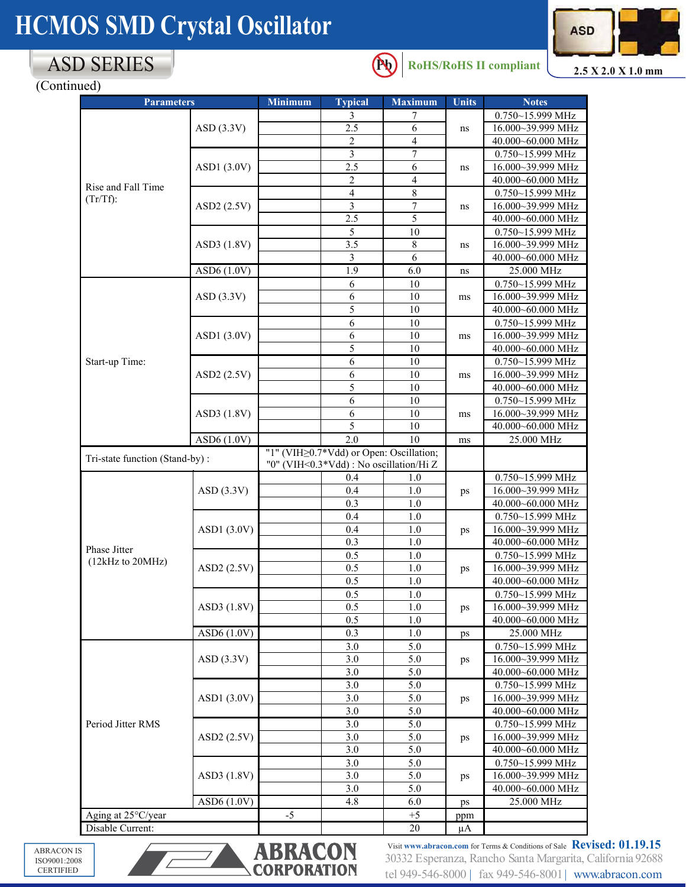# **HCMOS SMD Crystal Oscillator**



# ASD SERIES

**Pb RoHS/RoHS II compliant**

**2.5 X 2.0 X 1.0 mm**

(Continued)

| <b>Parameters</b>                 |               | <b>Minimum</b> | <b>Typical</b>                                 | <b>Maximum</b> | <b>Units</b>   | <b>Notes</b>         |
|-----------------------------------|---------------|----------------|------------------------------------------------|----------------|----------------|----------------------|
|                                   |               |                | 3                                              |                |                | 0.750~15.999 MHz     |
|                                   | ASD(3.3V)     |                | 2.5                                            | 6              | ns             | 16.000~39.999 MHz    |
|                                   |               |                | $\overline{2}$                                 | 4              |                | 40.000~60.000 MHz    |
|                                   |               |                | 3                                              | $\tau$         | ns             | 0.750~15.999 MHz     |
|                                   | ASD1 (3.0V)   |                | 2.5                                            | 6              |                | 16.000~39.999 MHz    |
|                                   |               |                | 2                                              | $\overline{4}$ |                | 40.000~60.000 MHz    |
| Rise and Fall Time<br>$(Tr/Tf)$ : |               |                | 4                                              | 8              | ns             | 0.750~15.999 MHz     |
|                                   | ASD2 (2.5V)   |                | 3                                              | 7              |                | 16.000~39.999 MHz    |
|                                   |               |                | 2.5                                            | 5              |                | 40.000~60.000 MHz    |
|                                   |               |                | 5                                              | 10             | ns             | 0.750~15.999 MHz     |
|                                   | ASD3 (1.8V)   |                | 3.5                                            | $\,8\,$        |                | 16.000~39.999 MHz    |
|                                   |               |                | 3                                              | 6              |                | 40.000~60.000 MHz    |
|                                   | ASD6 (1.0V)   |                | 1.9                                            | 6.0            | ns             | 25.000 MHz           |
|                                   |               |                | 6                                              | $10\,$         | ms             | 0.750~15.999 MHz     |
|                                   | ASD(3.3V)     |                | 6                                              | 10             |                | 16.000~39.999 MHz    |
|                                   |               |                | 5                                              | 10             |                | 40.000~60.000 MHz    |
|                                   |               |                | 6                                              | 10             | ms             | 0.750~15.999 MHz     |
|                                   | ASD1(3.0V)    |                | 6                                              | 10             |                | 16.000~39.999 MHz    |
|                                   |               |                | 5                                              | 10             |                | 40.000~60.000 MHz    |
| Start-up Time:                    |               |                | 6                                              | 10             |                | 0.750~15.999 MHz     |
|                                   | ASD2 (2.5V)   |                | 6                                              | 10             | ms             | 16.000~39.999 MHz    |
|                                   |               |                | 5                                              | 10             |                | 40.000~60.000 MHz    |
|                                   |               |                | 6                                              | 10             |                | 0.750~15.999 MHz     |
|                                   | ASD3 (1.8V)   |                | 6                                              | $10\,$         | ms             | 16.000~39.999 MHz    |
|                                   |               |                | 5                                              | 10             |                | 40.000~60.000 MHz    |
|                                   | ASD6 (1.0V)   |                | 2.0                                            | 10             | ms             | 25.000 MHz           |
| Tri-state function (Stand-by):    |               |                | "1" (VIH $\geq$ 0.7*Vdd) or Open: Oscillation; |                |                |                      |
|                                   |               |                | "0" (VIH<0.3*Vdd) : No oscillation/Hi Z        |                |                |                      |
|                                   |               |                | 0.4                                            | 1.0            | ps<br>ps<br>ps | 0.750~15.999 MHz     |
|                                   | ASD(3.3V)     |                | 0.4                                            | 1.0            |                | 16.000~39.999 MHz    |
|                                   |               |                | 0.3                                            | 1.0            |                | 40.000~60.000 MHz    |
|                                   |               |                | 0.4                                            | 1.0            |                | 0.750~15.999 MHz     |
|                                   | ASD1 $(3.0V)$ |                | 0.4                                            | $1.0\,$        |                | 16.000~39.999 MHz    |
| Phase Jitter                      |               |                | 0.3                                            | 1.0            |                | 40.000~60.000 MHz    |
| (12kHz to 20MHz)                  |               |                | 0.5                                            | 1.0            |                | 0.750~15.999 MHz     |
|                                   | ASD2 (2.5V)   |                | 0.5                                            | 1.0            |                | 16.000~39.999 MHz    |
|                                   |               |                | 0.5                                            | 1.0            |                | 40.000~60.000 MHz    |
|                                   | ASD3 (1.8V)   |                | $0.5\,$                                        | 1.0            | ps             | 0.750~15.999 MHz     |
|                                   |               |                | 0.5                                            | 1.0            |                | 16.000~39.999 MHz    |
|                                   |               |                | 0.5                                            | 1.0            |                | 40.000~60.000 MHz    |
|                                   | ASD6 (1.0V)   |                | 0.3                                            | $1.0\,$        | ps             | 25.000 MHz           |
|                                   | ASD(3.3V)     |                | 3.0                                            | 5.0            | ps             | 0.750~15.999 MHz     |
|                                   |               |                | 3.0                                            | 5.0            |                | 16.000~39.999 MHz    |
|                                   |               |                | 3.0                                            | 5.0            |                | 40.000~60.000 MHz    |
|                                   | ASD1 (3.0V)   |                | 3.0                                            | 5.0            | ps             | $0.750 - 15.999$ MHz |
|                                   |               |                | 3.0                                            | 5.0            |                | 16.000~39.999 MHz    |
|                                   |               |                | 3.0                                            | 5.0            |                | 40.000~60.000 MHz    |
| Period Jitter RMS                 | ASD2 (2.5V)   |                | 3.0                                            | 5.0            | ps<br>ps       | 0.750~15.999 MHz     |
|                                   |               |                | 3.0                                            | 5.0            |                | 16.000~39.999 MHz    |
|                                   |               |                | 3.0                                            | 5.0            |                | 40.000~60.000 MHz    |
|                                   | ASD3 (1.8V)   |                | 3.0                                            | 5.0            |                | 0.750~15.999 MHz     |
|                                   |               |                | 3.0                                            | 5.0            |                | 16.000~39.999 MHz    |
|                                   |               |                | 3.0                                            | 5.0            |                | 40.000~60.000 MHz    |
|                                   | ASD6 (1.0V)   |                | 4.8                                            | 6.0            | ps             | 25.000 MHz           |
| Aging at 25°C/year                |               | $-5$           |                                                | $+5$           | ppm            |                      |
| Disable Current:                  |               |                |                                                | 20             | μA             |                      |

CERTIFIED CERTIFIED ABRACON IS ISO9001:2008



30332 Esperanza, Rancho Santa Margarita, California 92688 tel 949-546-8000 | fax 949-546-8001 | www.abracon.com Visit **www.abracon.com** for Terms & Conditions of Sale **Revised: 01.19.15**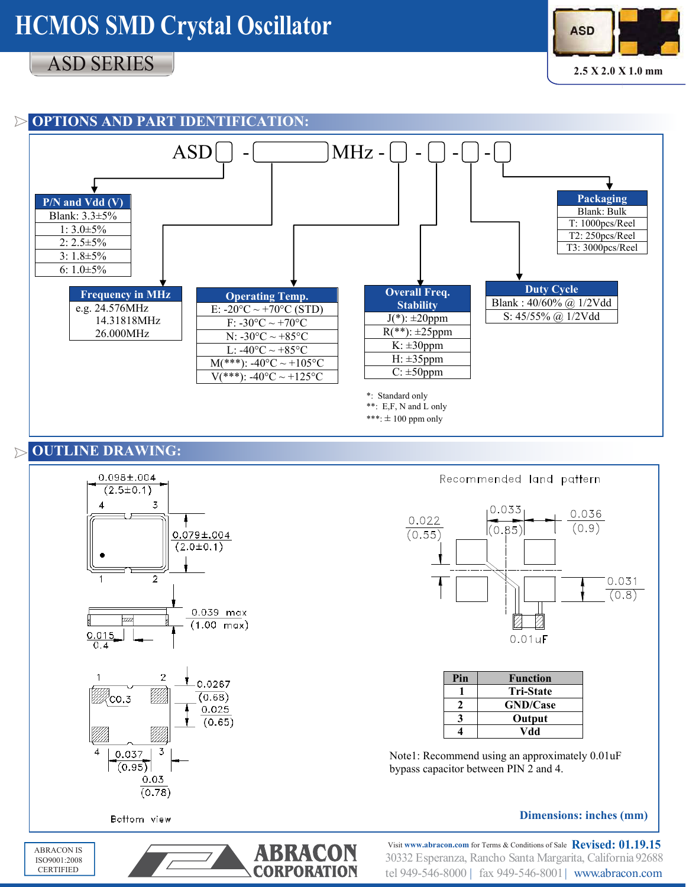# **HCMOS SMD Crystal Oscillator**

# ASD SERIES



**2.5 X 2.0 X 1.0 mm**



## **OUTLINE DRAWING:**





Note1: Recommend using an approximately 0.01uF bypass capacitor between PIN 2 and 4.

**4 Vdd**

#### **Dimensions: inches (mm)**

Bottom view



30332 Esperanza, Rancho Santa Margarita, California 92688 tel 949-546-8000 | fax 949-546-8001| www.abracon.com Visit **www.abracon.com** for Terms & Conditions of Sale **Revised: 01.19.15**